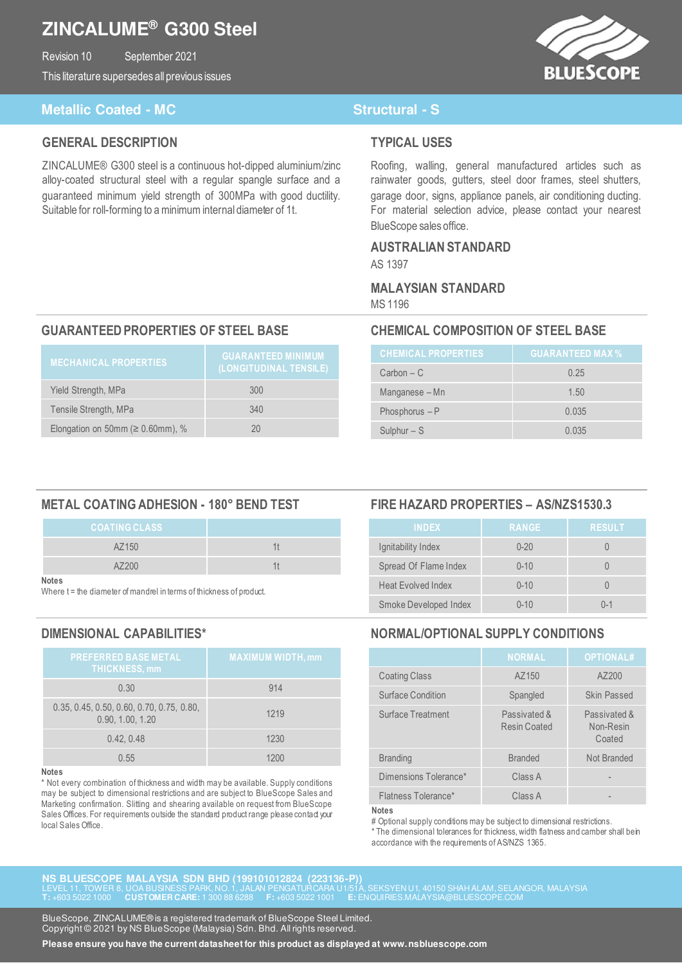## **ZINCALUME® G300 Steel**

Revision 10 September 2021 This literature supersedes all previous issues BLUESCOPE

### **Metallic Coated - MC** Structural - S

### **GENERAL DESCRIPTION**

ZINCALUME® G300 steel is a continuous hot-dipped aluminium/zinc alloy-coated structural steel with a regular spangle surface and a guaranteed minimum yield strength of 300MPa with good ductility. Suitable for roll-forming to a minimum internal diameter of 1t.

#### **TYPICAL USES**

Roofing, walling, general manufactured articles such as rainwater goods, gutters, steel door frames, steel shutters, garage door, signs, appliance panels, air conditioning ducting. For material selection advice, please contact your nearest BlueScope sales office.

#### **AUSTRALIAN STANDARD**  AS 1397

#### **MALAYSIAN STANDARD**  MS 1196

### **GUARANTEED PROPERTIES OF STEEL BASE CHEMICAL COMPOSITION OF STEEL BASE**

| <b>MECHANICAL PROPERTIES</b>            | <b>GUARANTEED MINIMUM</b><br>(LONGITUDINAL TENSILE) |
|-----------------------------------------|-----------------------------------------------------|
| Yield Strength, MPa                     | 300                                                 |
| Tensile Strength, MPa                   | 340                                                 |
| Elongation on 50mm ( $\geq 0.60$ mm), % |                                                     |

| <b>CHEMICAL PROPERTIES</b> | <b>GUARANTEED MAX %</b> |
|----------------------------|-------------------------|
| $Carbon - C$               | 0.25                    |
| Manganese – Mn             | 1.50                    |
| Phosphorus $-P$            | 0.035                   |
| Sulphur $-$ S              | 0.035                   |

#### **METAL COATING ADHESION - 180° BEND TEST FIRE HAZARD PROPERTIES – AS/NZS1530.3**

| <b>COATING CLASS</b> |  |
|----------------------|--|
| AZ150                |  |
| A7200                |  |

**Notes**

Where t = the diameter of mandrel in terms of thickness of product.

| <b>PREFERRED BASE METAL</b><br><b>THICKNESS, mm</b>             | <b>MAXIMUM WIDTH, mm</b> |
|-----------------------------------------------------------------|--------------------------|
| 0.30                                                            | 914                      |
| $0.35, 0.45, 0.50, 0.60, 0.70, 0.75, 0.80,$<br>0.90, 1.00, 1.20 | 1219                     |
| 0.42.0.48                                                       | 1230                     |
| 0.55                                                            | 1200                     |

#### **Notes**

\* Not every combination of thickness and width may be available. Supply conditions may be subject to dimensional restrictions and are subject to BlueScope Sales and Marketing confirmation. Slitting and shearing available on request from BlueScope Sales Offices. For requirements outside the standard product range please contact your local Sales Office.

| <b>INDEX</b>              | <b>RANGE</b> | <b>RESULT</b> |
|---------------------------|--------------|---------------|
| Ignitability Index        | $0 - 20$     |               |
| Spread Of Flame Index     | $0 - 10$     |               |
| <b>Heat Evolved Index</b> | $0 - 10$     |               |
| Smoke Developed Index     | $0 - 10$     | $() - 1$      |

### **DIMENSIONAL CAPABILITIES\* NORMAL/OPTIONAL SUPPLY CONDITIONS**

|                          | <b>NORMAL</b>                | <b>OPTIONAL#</b>                    |
|--------------------------|------------------------------|-------------------------------------|
| <b>Coating Class</b>     | AZ150                        | AZ200                               |
| Surface Condition        | Spangled                     | <b>Skin Passed</b>                  |
| <b>Surface Treatment</b> | Passivated &<br>Resin Coated | Passivated &<br>Non-Resin<br>Coated |
| <b>Branding</b>          | <b>Branded</b>               | Not Branded                         |
| Dimensions Tolerance*    | Class A                      |                                     |
| Flatness Tolerance*      | Class A                      |                                     |

**Notes** 

# Optional supply conditions may be subject to dimensional restrictions.

\* The dimensional tolerances for thickness, width flatness and camber shall be in accordance with the requirements of AS/NZS 1365.

**NS BLUESCOPE MALAYSIA SDN BHD (199101012824 (223136-P))**  LEVEL 11, TOWER 8, UOA BUSINESS PARK, NO. 1, JALAN PENGATURCARA U1/51A, SEKSYEN U1, 40150 SHAH ALAM, SELANGOR, MALAYSIA **T:** +603 5022 1000 **CUSTOMER CARE:** 1 300 88 6288 **F:** +603 5022 1001 **E:** ENQUIRIES.MALAYSIA@BLUESCOPE.COM

BlueScope, ZINCALUME® is a registered trademark of BlueScope Steel Limited. Copyright © 2021 by NS BlueScope (Malaysia) Sdn. Bhd. All rights reserved.

**Please ensure you have the current datasheet for this product as displayed at www.nsbluescope.com**